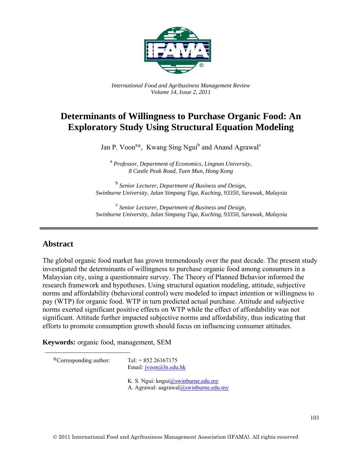

*International Food and Agribusiness Management Review Volume 14, Issue 2, 2011*

# **Determinants of Willingness to Purchase Organic Food: An Exploratory Study Using Structural Equation Modeling**

Jan P. Voon<sup>a<sub>®</sub>, Kwang Sing Ngui<sup>b</sup> and Anand Agrawal<sup>c</sup></sup>

 a *Professor, Department of Economics, Lingnan University, 8 Castle Peak Road, Tuen Mun, Hong Kong* 

b  *Senior Lecturer, Department of Business and Design, Swinburne University, Jalan Simpang Tiga, Kuching, 93350, Sarawak, Malaysia* 

c  *Senior Lecturer, Department of Business and Design, Swinburne University, Jalan Simpang Tiga, Kuching, 93350, Sarawak, Malaysia* 

### **Abstract**

The global organic food market has grown tremendously over the past decade. The present study investigated the determinants of willingness to purchase organic food among consumers in a Malaysian city, using a questionnaire survey. The Theory of Planned Behavior informed the research framework and hypotheses. Using structural equation modeling, attitude, subjective norms and affordability (behavioral control) were modeled to impact intention or willingness to pay (WTP) for organic food. WTP in turn predicted actual purchase. Attitude and subjective norms exerted significant positive effects on WTP while the effect of affordability was not significant. Attitude further impacted subjective norms and affordability, thus indicating that efforts to promote consumption growth should focus on influencing consumer attitudes.

**Keywords:** organic food, management, SEM

 $^{\circ}$ Corresponding author: Tel: + 852 26167175

Email: jvoon@ln.edu.hk

K. S. Ngui: kngui@swinburne.edu.my A. Agrawal: aagrawal@swinburne.edu.my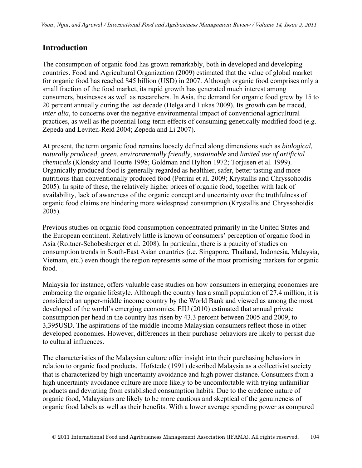## **Introduction**

The consumption of organic food has grown remarkably, both in developed and developing countries. Food and Agricultural Organization (2009) estimated that the value of global market for organic food has reached \$45 billion (USD) in 2007. Although organic food comprises only a small fraction of the food market, its rapid growth has generated much interest among consumers, businesses as well as researchers. In Asia, the demand for organic food grew by 15 to 20 percent annually during the last decade (Helga and Lukas 2009). Its growth can be traced, *inter alia*, to concerns over the negative environmental impact of conventional agricultural practices, as well as the potential long-term effects of consuming genetically modified food (e.g. Zepeda and Leviten-Reid 2004; Zepeda and Li 2007).

At present, the term organic food remains loosely defined along dimensions such as *biological, naturally produced, green, environmentally friendly, sustainable* and *limited use of artificial chemicals* (Klonsky and Tourte 1998; Goldman and Hylton 1972; Torjusen et al. 1999). Organically produced food is generally regarded as healthier, safer, better tasting and more nutritious than conventionally produced food (Perrini et al. 2009; Krystallis and Chryssohoidis 2005). In spite of these, the relatively higher prices of organic food, together with lack of availability, lack of awareness of the organic concept and uncertainty over the truthfulness of organic food claims are hindering more widespread consumption (Krystallis and Chryssohoidis 2005).

Previous studies on organic food consumption concentrated primarily in the United States and the European continent. Relatively little is known of consumers' perception of organic food in Asia (Roitner-Schobesberger et al. 2008). In particular, there is a paucity of studies on consumption trends in South-East Asian countries (i.e. Singapore, Thailand, Indonesia, Malaysia, Vietnam, etc.) even though the region represents some of the most promising markets for organic food.

Malaysia for instance, offers valuable case studies on how consumers in emerging economies are embracing the organic lifestyle. Although the country has a small population of 27.4 million, it is considered an upper-middle income country by the World Bank and viewed as among the most developed of the world's emerging economies. EIU (2010) estimated that annual private consumption per head in the country has risen by 43.3 percent between 2005 and 2009, to 3,395USD. The aspirations of the middle-income Malaysian consumers reflect those in other developed economies. However, differences in their purchase behaviors are likely to persist due to cultural influences.

The characteristics of the Malaysian culture offer insight into their purchasing behaviors in relation to organic food products. Hofstede (1991) described Malaysia as a collectivist society that is characterized by high uncertainty avoidance and high power distance. Consumers from a high uncertainty avoidance culture are more likely to be uncomfortable with trying unfamiliar products and deviating from established consumption habits. Due to the credence nature of organic food, Malaysians are likely to be more cautious and skeptical of the genuineness of organic food labels as well as their benefits. With a lower average spending power as compared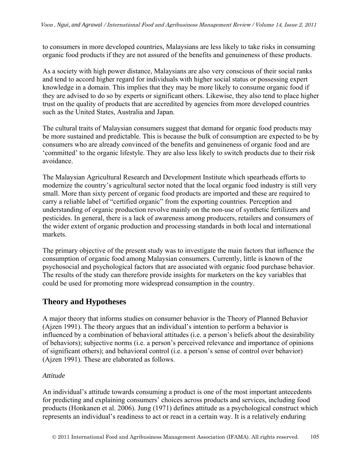to consumers in more developed countries, Malaysians are less likely to take risks in consuming organic food products if they are not assured of the benefits and genuineness of these products.

As a society with high power distance, Malaysians are also very conscious of their social ranks and tend to accord higher regard for individuals with higher social status or possessing expert knowledge in a domain. This implies that they may be more likely to consume organic food if they are advised to do so by experts or significant others. Likewise, they also tend to place higher trust on the quality of products that are accredited by agencies from more developed countries such as the United States, Australia and Japan.

The cultural traits of Malaysian consumers suggest that demand for organic food products may be more sustained and predictable. This is because the bulk of consumption are expected to be by consumers who are already convinced of the benefits and genuineness of organic food and are 'committed' to the organic lifestyle. They are also less likely to switch products due to their risk avoidance.

The Malaysian Agricultural Research and Development Institute which spearheads efforts to modernize the country's agricultural sector noted that the local organic food industry is still very small. More than sixty percent of organic food products are imported and these are required to carry a reliable label of "certified organic" from the exporting countries. Perception and understanding of organic production revolve mainly on the non-use of synthetic fertilizers and pesticides. In general, there is a lack of awareness among producers, retailers and consumers of the wider extent of organic production and processing standards in both local and international markets.

The primary objective of the present study was to investigate the main factors that influence the consumption of organic food among Malaysian consumers. Currently, little is known of the psychosocial and psychological factors that are associated with organic food purchase behavior. The results of the study can therefore provide insights for marketers on the key variables that could be used for promoting more widespread consumption in the country.

## **Theory and Hypotheses**

A major theory that informs studies on consumer behavior is the Theory of Planned Behavior (Ajzen 1991). The theory argues that an individual's intention to perform a behavior is influenced by a combination of behavioral attitudes (i.e. a person's beliefs about the desirability of behaviors); subjective norms (i.e. a person's perceived relevance and importance of opinions of significant others); and behavioral control (i.e. a person's sense of control over behavior) (Ajzen 1991). These are elaborated as follows.

### *Attitude*

An individual's attitude towards consuming a product is one of the most important antecedents for predicting and explaining consumers' choices across products and services, including food products (Honkanen et al. 2006). Jung (1971) defines attitude as a psychological construct which represents an individual's readiness to act or react in a certain way. It is a relatively enduring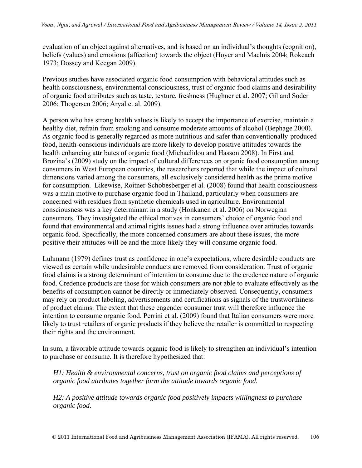evaluation of an object against alternatives, and is based on an individual's thoughts (cognition), beliefs (values) and emotions (affection) towards the object (Hoyer and Maclnis 2004; Rokeach 1973; Dossey and Keegan 2009).

Previous studies have associated organic food consumption with behavioral attitudes such as health consciousness, environmental consciousness, trust of organic food claims and desirability of organic food attributes such as taste, texture, freshness (Hughner et al. 2007; Gil and Soder 2006; Thogersen 2006; Aryal et al. 2009).

A person who has strong health values is likely to accept the importance of exercise, maintain a healthy diet, refrain from smoking and consume moderate amounts of alcohol (Bephage 2000). As organic food is generally regarded as more nutritious and safer than conventionally-produced food, health-conscious individuals are more likely to develop positive attitudes towards the health enhancing attributes of organic food (Michaelidou and Hasson 2008). In First and Brozina's (2009) study on the impact of cultural differences on organic food consumption among consumers in West European countries, the researchers reported that while the impact of cultural dimensions varied among the consumers, all exclusively considered health as the prime motive for consumption. Likewise, Roitner-Schobesberger et al. (2008) found that health consciousness was a main motive to purchase organic food in Thailand, particularly when consumers are concerned with residues from synthetic chemicals used in agriculture. Environmental consciousness was a key determinant in a study (Honkanen et al. 2006) on Norwegian consumers. They investigated the ethical motives in consumers' choice of organic food and found that environmental and animal rights issues had a strong influence over attitudes towards organic food. Specifically, the more concerned consumers are about these issues, the more positive their attitudes will be and the more likely they will consume organic food.

Luhmann (1979) defines trust as confidence in one's expectations, where desirable conducts are viewed as certain while undesirable conducts are removed from consideration. Trust of organic food claims is a strong determinant of intention to consume due to the credence nature of organic food. Credence products are those for which consumers are not able to evaluate effectively as the benefits of consumption cannot be directly or immediately observed. Consequently, consumers may rely on product labeling, advertisements and certifications as signals of the trustworthiness of product claims. The extent that these engender consumer trust will therefore influence the intention to consume organic food. Perrini et al. (2009) found that Italian consumers were more likely to trust retailers of organic products if they believe the retailer is committed to respecting their rights and the environment.

In sum, a favorable attitude towards organic food is likely to strengthen an individual's intention to purchase or consume. It is therefore hypothesized that:

*H1: Health & environmental concerns, trust on organic food claims and perceptions of organic food attributes together form the attitude towards organic food.* 

*H2: A positive attitude towards organic food positively impacts willingness to purchase organic food.*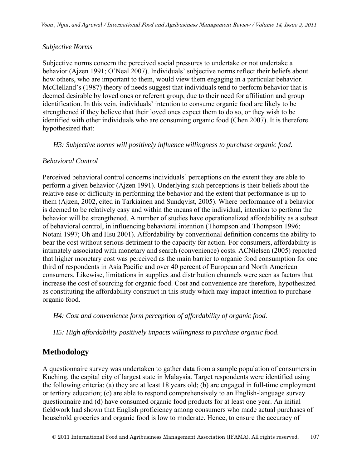### *Subjective Norms*

Subjective norms concern the perceived social pressures to undertake or not undertake a behavior (Ajzen 1991; O'Neal 2007). Individuals' subjective norms reflect their beliefs about how others, who are important to them, would view them engaging in a particular behavior. McClelland's (1987) theory of needs suggest that individuals tend to perform behavior that is deemed desirable by loved ones or referent group, due to their need for affiliation and group identification. In this vein, individuals' intention to consume organic food are likely to be strengthened if they believe that their loved ones expect them to do so, or they wish to be identified with other individuals who are consuming organic food (Chen 2007). It is therefore hypothesized that:

*H3: Subjective norms will positively influence willingness to purchase organic food.* 

### *Behavioral Control*

Perceived behavioral control concerns individuals' perceptions on the extent they are able to perform a given behavior (Ajzen 1991). Underlying such perceptions is their beliefs about the relative ease or difficulty in performing the behavior and the extent that performance is up to them (Ajzen, 2002, cited in Tarkiainen and Sundqvist, 2005). Where performance of a behavior is deemed to be relatively easy and within the means of the individual, intention to perform the behavior will be strengthened. A number of studies have operationalized affordability as a subset of behavioral control, in influencing behavioral intention (Thompson and Thompson 1996; Notani 1997; Oh and Hsu 2001). Affordability by conventional definition concerns the ability to bear the cost without serious detriment to the capacity for action. For consumers, affordability is intimately associated with monetary and search (convenience) costs. ACNielsen (2005) reported that higher monetary cost was perceived as the main barrier to organic food consumption for one third of respondents in Asia Pacific and over 40 percent of European and North American consumers. Likewise, limitations in supplies and distribution channels were seen as factors that increase the cost of sourcing for organic food. Cost and convenience are therefore, hypothesized as constituting the affordability construct in this study which may impact intention to purchase organic food.

*H4: Cost and convenience form perception of affordability of organic food.* 

*H5: High affordability positively impacts willingness to purchase organic food.* 

## **Methodology**

A questionnaire survey was undertaken to gather data from a sample population of consumers in Kuching, the capital city of largest state in Malaysia. Target respondents were identified using the following criteria: (a) they are at least 18 years old; (b) are engaged in full-time employment or tertiary education; (c) are able to respond comprehensively to an English-language survey questionnaire and (d) have consumed organic food products for at least one year. An initial fieldwork had shown that English proficiency among consumers who made actual purchases of household groceries and organic food is low to moderate. Hence, to ensure the accuracy of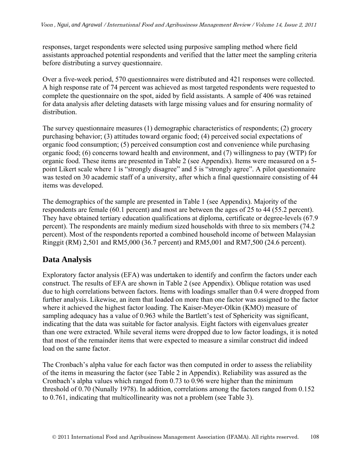responses, target respondents were selected using purposive sampling method where field assistants approached potential respondents and verified that the latter meet the sampling criteria before distributing a survey questionnaire.

Over a five-week period, 570 questionnaires were distributed and 421 responses were collected. A high response rate of 74 percent was achieved as most targeted respondents were requested to complete the questionnaire on the spot, aided by field assistants. A sample of 406 was retained for data analysis after deleting datasets with large missing values and for ensuring normality of distribution.

The survey questionnaire measures (1) demographic characteristics of respondents; (2) grocery purchasing behavior; (3) attitudes toward organic food; (4) perceived social expectations of organic food consumption; (5) perceived consumption cost and convenience while purchasing organic food; (6) concerns toward health and environment, and (7) willingness to pay (WTP) for organic food. These items are presented in Table 2 (see Appendix). Items were measured on a 5 point Likert scale where 1 is "strongly disagree" and 5 is "strongly agree". A pilot questionnaire was tested on 30 academic staff of a university, after which a final questionnaire consisting of 44 items was developed.

The demographics of the sample are presented in Table 1 (see Appendix). Majority of the respondents are female (60.1 percent) and most are between the ages of 25 to 44 (55.2 percent). They have obtained tertiary education qualifications at diploma, certificate or degree-levels (67.9 percent). The respondents are mainly medium sized households with three to six members (74.2 percent). Most of the respondents reported a combined household income of between Malaysian Ringgit (RM) 2,501 and RM5,000 (36.7 percent) and RM5,001 and RM7,500 (24.6 percent).

## **Data Analysis**

Exploratory factor analysis (EFA) was undertaken to identify and confirm the factors under each construct. The results of EFA are shown in Table 2 (see Appendix). Oblique rotation was used due to high correlations between factors. Items with loadings smaller than 0.4 were dropped from further analysis. Likewise, an item that loaded on more than one factor was assigned to the factor where it achieved the highest factor loading. The Kaiser-Meyer-Olkin (KMO) measure of sampling adequacy has a value of 0.963 while the Bartlett's test of Sphericity was significant, indicating that the data was suitable for factor analysis. Eight factors with eigenvalues greater than one were extracted. While several items were dropped due to low factor loadings, it is noted that most of the remainder items that were expected to measure a similar construct did indeed load on the same factor.

The Cronbach's alpha value for each factor was then computed in order to assess the reliability of the items in measuring the factor (see Table 2 in Appendix). Reliability was assured as the Cronbach's alpha values which ranged from 0.73 to 0.96 were higher than the minimum threshold of 0.70 (Nunally 1978). In addition, correlations among the factors ranged from 0.152 to 0.761, indicating that multicollinearity was not a problem (see Table 3).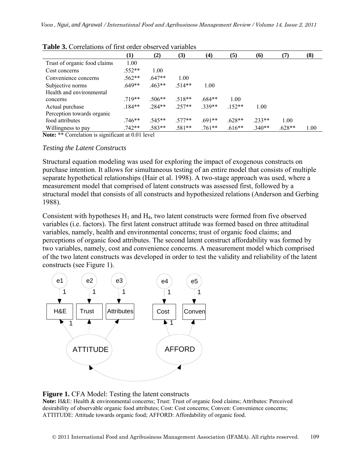|                              | $\bf{(1)}$ | (2)      | (3)      | $\left( 4\right)$ | (5)      | (6)      | (7)      | (8)  |
|------------------------------|------------|----------|----------|-------------------|----------|----------|----------|------|
| Trust of organic food claims | 1.00       |          |          |                   |          |          |          |      |
| Cost concerns                | $.552**$   | 1.00     |          |                   |          |          |          |      |
| Convenience concerns         | $.562**$   | $.647**$ | 1.00     |                   |          |          |          |      |
| Subjective norms             | $.649**$   | $.463**$ | $514**$  | 1.00              |          |          |          |      |
| Health and environmental     |            |          |          |                   |          |          |          |      |
| concerns                     | $.719**$   | $.506**$ | $.518**$ | $.684**$          | 1.00     |          |          |      |
| Actual purchase              | $.184**$   | $.284**$ | $.257**$ | $.339**$          | $.152**$ | 1.00     |          |      |
| Perception towards organic   |            |          |          |                   |          |          |          |      |
| food attributes              | $.746**$   | .545**   | $.577**$ | $.691**$          | $.628**$ | $.233**$ | 1.00     |      |
| Willingness to pay           | $.742**$   | .583**   | $.581**$ | $.761**$          | $.616**$ | $.340**$ | $.628**$ | 1.00 |

| <b>Table 3.</b> Correlations of first order observed variables |  |
|----------------------------------------------------------------|--|
|----------------------------------------------------------------|--|

**Note:** \*\* Correlation is significant at 0.01 level

#### *Testing the Latent Constructs*

Structural equation modeling was used for exploring the impact of exogenous constructs on purchase intention. It allows for simultaneous testing of an entire model that consists of multiple separate hypothetical relationships (Hair et al. 1998). A two-stage approach was used, where a measurement model that comprised of latent constructs was assessed first, followed by a structural model that consists of all constructs and hypothesized relations (Anderson and Gerbing 1988).

Consistent with hypotheses  $H_1$  and  $H_4$ , two latent constructs were formed from five observed variables (i.e. factors). The first latent construct attitude was formed based on three attitudinal variables, namely, health and environmental concerns; trust of organic food claims; and perceptions of organic food attributes. The second latent construct affordability was formed by two variables, namely, cost and convenience concerns. A measurement model which comprised of the two latent constructs was developed in order to test the validity and reliability of the latent constructs (see Figure 1).



#### **Figure 1.** CFA Model: Testing the latent constructs

**Note:** H&E: Health & environmental concerns; Trust: Trust of organic food claims; Attributes: Perceived desirability of observable organic food attributes; Cost: Cost concerns; Conven: Convenience concerns; ATTITUDE: Attitude towards organic food; AFFORD: Affordability of organic food.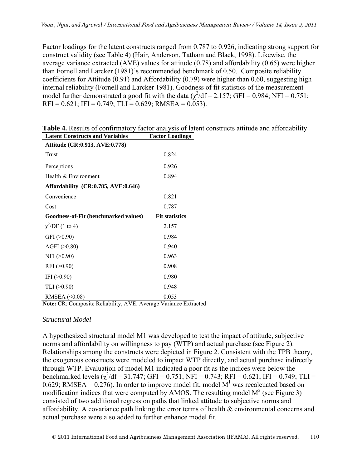Factor loadings for the latent constructs ranged from 0.787 to 0.926, indicating strong support for construct validity (see Table 4) (Hair, Anderson, Tatham and Black, 1998). Likewise, the average variance extracted (AVE) values for attitude (0.78) and affordability (0.65) were higher than Fornell and Larcker (1981)'s recommended benchmark of 0.50. Composite reliability coefficients for Attitude (0.91) and Affordability (0.79) were higher than 0.60, suggesting high internal reliability (Fornell and Larcker 1981). Goodness of fit statistics of the measurement model further demonstrated a good fit with the data  $(\chi^2/df = 2.157)$ ; GFI = 0.984; NFI = 0.751;  $RFI = 0.621$ ;  $IFI = 0.749$ ;  $TLI = 0.629$ ;  $RMSEA = 0.053$ ).

| Latent Constructs and Variables                                                                                                                                                                                                                                                                                                                                                                       | <b>Factor Loadings</b> |
|-------------------------------------------------------------------------------------------------------------------------------------------------------------------------------------------------------------------------------------------------------------------------------------------------------------------------------------------------------------------------------------------------------|------------------------|
| Attitude (CR:0.913, AVE:0.778)                                                                                                                                                                                                                                                                                                                                                                        |                        |
| Trust                                                                                                                                                                                                                                                                                                                                                                                                 | 0.824                  |
| Perceptions                                                                                                                                                                                                                                                                                                                                                                                           | 0.926                  |
| Health & Environment                                                                                                                                                                                                                                                                                                                                                                                  | 0.894                  |
| Affordability (CR:0.785, AVE:0.646)                                                                                                                                                                                                                                                                                                                                                                   |                        |
| Convenience                                                                                                                                                                                                                                                                                                                                                                                           | 0.821                  |
| Cost                                                                                                                                                                                                                                                                                                                                                                                                  | 0.787                  |
| Goodness-of-Fit (benchmarked values)                                                                                                                                                                                                                                                                                                                                                                  | <b>Fit statistics</b>  |
| $\chi^2$ /DF (1 to 4)                                                                                                                                                                                                                                                                                                                                                                                 | 2.157                  |
| GFI (>0.90)                                                                                                                                                                                                                                                                                                                                                                                           | 0.984                  |
| AGFI $(>0.80)$                                                                                                                                                                                                                                                                                                                                                                                        | 0.940                  |
| $NFI$ ( $>0.90$ )                                                                                                                                                                                                                                                                                                                                                                                     | 0.963                  |
| RFI (>0.90)                                                                                                                                                                                                                                                                                                                                                                                           | 0.908                  |
| IFI $(>0.90)$                                                                                                                                                                                                                                                                                                                                                                                         | 0.980                  |
| TLI (>0.90)                                                                                                                                                                                                                                                                                                                                                                                           | 0.948                  |
| RMSEA (<0.08)<br>$\overline{a}$ $\overline{a}$ $\overline{a}$ $\overline{a}$ $\overline{a}$ $\overline{a}$ $\overline{a}$ $\overline{a}$ $\overline{a}$ $\overline{a}$ $\overline{a}$ $\overline{a}$ $\overline{a}$ $\overline{a}$ $\overline{a}$ $\overline{a}$ $\overline{a}$ $\overline{a}$ $\overline{a}$ $\overline{a}$ $\overline{a}$ $\overline{a}$ $\overline{a}$ $\overline{a}$ $\overline{$ | 0.053                  |

**Table 4.** Results of confirmatory factor analysis of latent constructs attitude and affordability Latent Constructs and Variables **Factor Loadings** 

**Note:** CR: Composite Reliability, AVE: Average Variance Extracted

#### *Structural Model*

A hypothesized structural model M1 was developed to test the impact of attitude, subjective norms and affordability on willingness to pay (WTP) and actual purchase (see Figure 2). Relationships among the constructs were depicted in Figure 2. Consistent with the TPB theory, the exogenous constructs were modeled to impact WTP directly, and actual purchase indirectly through WTP. Evaluation of model M1 indicated a poor fit as the indices were below the benchmarked levels  $(\chi^2/df = 31.747; GFI = 0.751; NFI = 0.743; RFI = 0.621; IFI = 0.749; TLI =$ 0.629; RMSEA = 0.276). In order to improve model fit, model  $M<sup>1</sup>$  was recalcuated based on modification indices that were computed by AMOS. The resulting model  $M^2$  (see Figure 3) consisted of two additional regression paths that linked attitude to subjective norms and affordability. A covariance path linking the error terms of health  $\&$  environmental concerns and actual purchase were also added to further enhance model fit.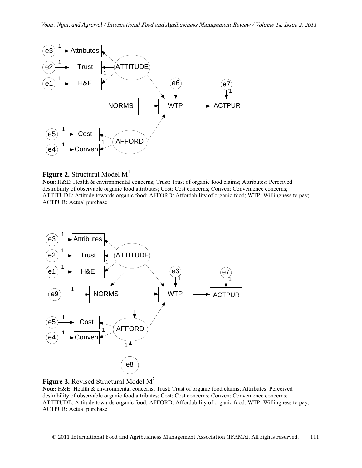

#### **Figure 2.** Structural Model  $M<sup>1</sup>$

**Note**: H&E: Health & environmental concerns; Trust: Trust of organic food claims; Attributes: Perceived desirability of observable organic food attributes; Cost: Cost concerns; Conven: Convenience concerns; ATTITUDE: Attitude towards organic food; AFFORD: Affordability of organic food; WTP: Willingness to pay; ACTPUR: Actual purchase





**Note:** H&E: Health & environmental concerns; Trust: Trust of organic food claims; Attributes: Perceived desirability of observable organic food attributes; Cost: Cost concerns; Conven: Convenience concerns; ATTITUDE: Attitude towards organic food; AFFORD: Affordability of organic food; WTP: Willingness to pay; ACTPUR: Actual purchase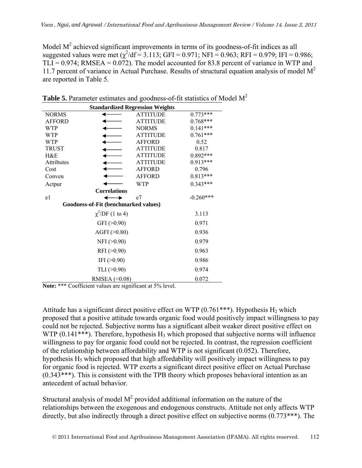Model  $M<sup>2</sup>$  achieved significant improvements in terms of its goodness-of-fit indices as all suggested values were met  $(\chi^2/df = 3.113; GFI = 0.971; NFI = 0.963; RFI = 0.979; IFI = 0.986;$  $TLI = 0.974$ ; RMSEA =  $0.072$ ). The model accounted for 83.8 percent of variance in WTP and 11.7 percent of variance in Actual Purchase. Results of structural equation analysis of model  $M<sup>2</sup>$ are reported in Table 5.

| <b>Standardized Regression Weights</b> |                       |                 |             |  |  |  |  |
|----------------------------------------|-----------------------|-----------------|-------------|--|--|--|--|
| <b>NORMS</b>                           |                       | <b>ATTITUDE</b> | $0.773***$  |  |  |  |  |
| <b>AFFORD</b>                          |                       | <b>ATTITUDE</b> | 0.768***    |  |  |  |  |
| <b>WTP</b>                             |                       | <b>NORMS</b>    | $0.141***$  |  |  |  |  |
| WTP                                    |                       | <b>ATTITUDE</b> | $0.761***$  |  |  |  |  |
| WTP                                    |                       | AFFORD          | 0.52        |  |  |  |  |
| TRUST                                  |                       | <b>ATTITUDE</b> | 0.817       |  |  |  |  |
| H&E                                    |                       | <b>ATTITUDE</b> | 0.892***    |  |  |  |  |
| <b>Attributes</b>                      |                       | <b>ATTITUDE</b> | $0.913***$  |  |  |  |  |
| Cost                                   |                       | <b>AFFORD</b>   | 0.796       |  |  |  |  |
| Conven                                 |                       | <b>AFFORD</b>   | 0.813***    |  |  |  |  |
| Actpur                                 |                       | WTP             | $0.343***$  |  |  |  |  |
|                                        | <b>Correlations</b>   |                 |             |  |  |  |  |
| e1                                     |                       | e7              | $-0.260***$ |  |  |  |  |
| Goodness-of-Fit (benchmarked values)   |                       |                 |             |  |  |  |  |
|                                        | $\chi^2$ /DF (1 to 4) |                 | 3.113       |  |  |  |  |
|                                        | GFI ( >0.90)          |                 | 0.971       |  |  |  |  |
|                                        | AGFI $(>0.80)$        |                 | 0.936       |  |  |  |  |
|                                        | $NFI$ ( $>0.90$ )     |                 | 0.979       |  |  |  |  |
| 0.963<br>RFI $(>0.90)$                 |                       |                 |             |  |  |  |  |
| IFI $(>0.90)$<br>0.986                 |                       |                 |             |  |  |  |  |
| TLI $(>0.90)$<br>0.974                 |                       |                 |             |  |  |  |  |
| 0.072<br>RMSEA $(0.08)$                |                       |                 |             |  |  |  |  |

**Table 5.** Parameter estimates and goodness-of-fit statistics of Model M<sup>2</sup>

**Note:** \*\*\* Coefficient values are significant at 5% level.

Attitude has a significant direct positive effect on WTP  $(0.761***)$ . Hypothesis H<sub>2</sub> which proposed that a positive attitude towards organic food would positively impact willingness to pay could not be rejected. Subjective norms has a significant albeit weaker direct positive effect on WTP  $(0.141***)$ . Therefore, hypothesis H<sub>3</sub> which proposed that subjective norms will influence willingness to pay for organic food could not be rejected. In contrast, the regression coefficient of the relationship between affordability and WTP is not significant (0.052). Therefore, hypothesis  $H_5$  which proposed that high affordability will positively impact willingness to pay for organic food is rejected. WTP exerts a significant direct positive effect on Actual Purchase (0.343\*\*\*). This is consistent with the TPB theory which proposes behavioral intention as an antecedent of actual behavior.

Structural analysis of model  $M<sup>2</sup>$  provided additional information on the nature of the relationships between the exogenous and endogenous constructs. Attitude not only affects WTP directly, but also indirectly through a direct positive effect on subjective norms  $(0.773***)$ . The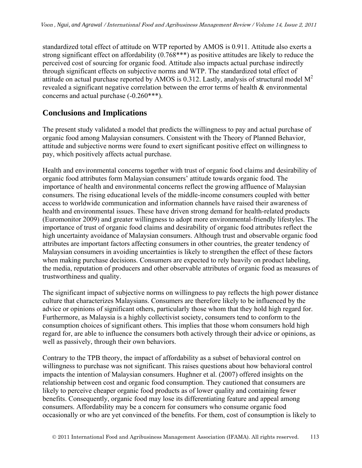standardized total effect of attitude on WTP reported by AMOS is 0.911. Attitude also exerts a strong significant effect on affordability (0.768\*\*\*) as positive attitudes are likely to reduce the perceived cost of sourcing for organic food. Attitude also impacts actual purchase indirectly through significant effects on subjective norms and WTP. The standardized total effect of attitude on actual purchase reported by AMOS is 0.312. Lastly, analysis of structural model  $M^2$ revealed a significant negative correlation between the error terms of health & environmental concerns and actual purchase (-0.260\*\*\*).

## **Conclusions and Implications**

The present study validated a model that predicts the willingness to pay and actual purchase of organic food among Malaysian consumers. Consistent with the Theory of Planned Behavior, attitude and subjective norms were found to exert significant positive effect on willingness to pay, which positively affects actual purchase.

Health and environmental concerns together with trust of organic food claims and desirability of organic food attributes form Malaysian consumers' attitude towards organic food. The importance of health and environmental concerns reflect the growing affluence of Malaysian consumers. The rising educational levels of the middle-income consumers coupled with better access to worldwide communication and information channels have raised their awareness of health and environmental issues. These have driven strong demand for health-related products (Euromonitor 2009) and greater willingness to adopt more environmental-friendly lifestyles. The importance of trust of organic food claims and desirability of organic food attributes reflect the high uncertainty avoidance of Malaysian consumers. Although trust and observable organic food attributes are important factors affecting consumers in other countries, the greater tendency of Malaysian consumers in avoiding uncertainties is likely to strengthen the effect of these factors when making purchase decisions. Consumers are expected to rely heavily on product labeling, the media, reputation of producers and other observable attributes of organic food as measures of trustworthiness and quality.

The significant impact of subjective norms on willingness to pay reflects the high power distance culture that characterizes Malaysians. Consumers are therefore likely to be influenced by the advice or opinions of significant others, particularly those whom that they hold high regard for. Furthermore, as Malaysia is a highly collectivist society, consumers tend to conform to the consumption choices of significant others. This implies that those whom consumers hold high regard for, are able to influence the consumers both actively through their advice or opinions, as well as passively, through their own behaviors.

Contrary to the TPB theory, the impact of affordability as a subset of behavioral control on willingness to purchase was not significant. This raises questions about how behavioral control impacts the intention of Malaysian consumers. Hughner et al. (2007) offered insights on the relationship between cost and organic food consumption. They cautioned that consumers are likely to perceive cheaper organic food products as of lower quality and containing fewer benefits. Consequently, organic food may lose its differentiating feature and appeal among consumers. Affordability may be a concern for consumers who consume organic food occasionally or who are yet convinced of the benefits. For them, cost of consumption is likely to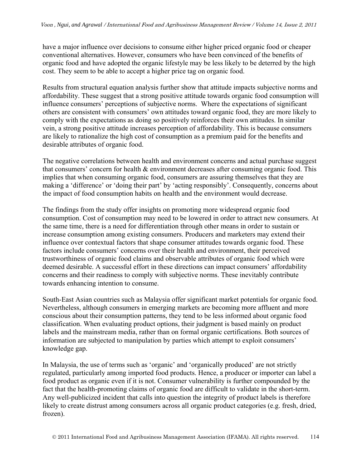have a major influence over decisions to consume either higher priced organic food or cheaper conventional alternatives. However, consumers who have been convinced of the benefits of organic food and have adopted the organic lifestyle may be less likely to be deterred by the high cost. They seem to be able to accept a higher price tag on organic food.

Results from structural equation analysis further show that attitude impacts subjective norms and affordability. These suggest that a strong positive attitude towards organic food consumption will influence consumers' perceptions of subjective norms. Where the expectations of significant others are consistent with consumers' own attitudes toward organic food, they are more likely to comply with the expectations as doing so positively reinforces their own attitudes. In similar vein, a strong positive attitude increases perception of affordability. This is because consumers are likely to rationalize the high cost of consumption as a premium paid for the benefits and desirable attributes of organic food.

The negative correlations between health and environment concerns and actual purchase suggest that consumers' concern for health & environment decreases after consuming organic food. This implies that when consuming organic food, consumers are assuring themselves that they are making a 'difference' or 'doing their part' by 'acting responsibly'. Consequently, concerns about the impact of food consumption habits on health and the environment would decrease.

The findings from the study offer insights on promoting more widespread organic food consumption. Cost of consumption may need to be lowered in order to attract new consumers. At the same time, there is a need for differentiation through other means in order to sustain or increase consumption among existing consumers. Producers and marketers may extend their influence over contextual factors that shape consumer attitudes towards organic food. These factors include consumers' concerns over their health and environment, their perceived trustworthiness of organic food claims and observable attributes of organic food which were deemed desirable. A successful effort in these directions can impact consumers' affordability concerns and their readiness to comply with subjective norms. These inevitably contribute towards enhancing intention to consume.

South-East Asian countries such as Malaysia offer significant market potentials for organic food. Nevertheless, although consumers in emerging markets are becoming more affluent and more conscious about their consumption patterns, they tend to be less informed about organic food classification. When evaluating product options, their judgment is based mainly on product labels and the mainstream media, rather than on formal organic certifications. Both sources of information are subjected to manipulation by parties which attempt to exploit consumers' knowledge gap.

In Malaysia, the use of terms such as 'organic' and 'organically produced' are not strictly regulated, particularly among imported food products. Hence, a producer or importer can label a food product as organic even if it is not. Consumer vulnerability is further compounded by the fact that the health-promoting claims of organic food are difficult to validate in the short-term. Any well-publicized incident that calls into question the integrity of product labels is therefore likely to create distrust among consumers across all organic product categories (e.g. fresh, dried, frozen).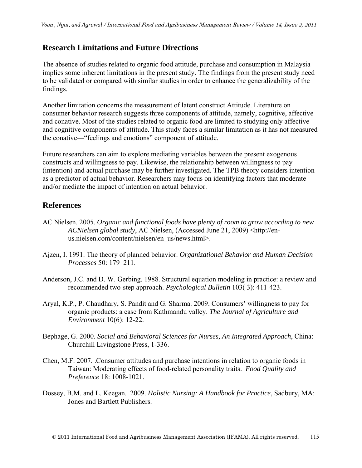### **Research Limitations and Future Directions**

The absence of studies related to organic food attitude, purchase and consumption in Malaysia implies some inherent limitations in the present study. The findings from the present study need to be validated or compared with similar studies in order to enhance the generalizability of the findings.

Another limitation concerns the measurement of latent construct Attitude. Literature on consumer behavior research suggests three components of attitude, namely, cognitive, affective and conative. Most of the studies related to organic food are limited to studying only affective and cognitive components of attitude. This study faces a similar limitation as it has not measured the conative—"feelings and emotions" component of attitude.

Future researchers can aim to explore mediating variables between the present exogenous constructs and willingness to pay. Likewise, the relationship between willingness to pay (intention) and actual purchase may be further investigated. The TPB theory considers intention as a predictor of actual behavior. Researchers may focus on identifying factors that moderate and/or mediate the impact of intention on actual behavior.

### **References**

- AC Nielsen. 2005. *Organic and functional foods have plenty of room to grow according to new ACNielsen global study*, AC Nielsen, (Accessed June 21, 2009) <http://enus.nielsen.com/content/nielsen/en\_us/news.html>.
- Ajzen, I. 1991. The theory of planned behavior. *Organizational Behavior and Human Decision Processes* 50: 179–211.
- Anderson, J.C. and D. W. Gerbing. 1988. Structural equation modeling in practice: a review and recommended two-step approach. *Psychological Bulletin* 103( 3): 411-423.
- Aryal, K.P., P. Chaudhary, S. Pandit and G. Sharma. 2009. Consumers' willingness to pay for organic products: a case from Kathmandu valley. *The Journal of Agriculture and Environment* 10(6): 12-22.
- Bephage, G. 2000. *Social and Behavioral Sciences for Nurses, An Integrated Approach*, China: Churchill Livingstone Press, 1-336.
- Chen, M.F. 2007. .Consumer attitudes and purchase intentions in relation to organic foods in Taiwan: Moderating effects of food-related personality traits. *Food Quality and Preference* 18: 1008-1021.
- Dossey, B.M. and L. Keegan. 2009. *Holistic Nursing: A Handbook for Practice*, Sadbury, MA: Jones and Bartlett Publishers.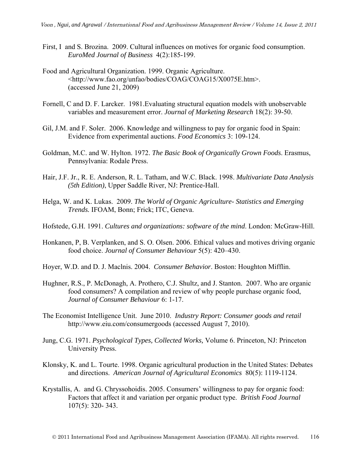- First, I and S. Brozina. 2009. Cultural influences on motives for organic food consumption. *EuroMed Journal of Business* 4(2):185-199.
- Food and Agricultural Organization. 1999. Organic Agriculture. <http://www.fao.org/unfao/bodies/COAG/COAG15/X0075E.htm>. (accessed June 21, 2009)
- Fornell, C and D. F. Larcker. 1981.Evaluating structural equation models with unobservable variables and measurement error. *Journal of Marketing Research* 18(2): 39-50.
- Gil, J.M. and F. Soler. 2006. Knowledge and willingness to pay for organic food in Spain: Evidence from experimental auctions. *Food Economics* 3: 109-124.
- Goldman, M.C. and W. Hylton. 1972. *The Basic Book of Organically Grown Foods*. Erasmus, Pennsylvania: Rodale Press.
- Hair, J.F. Jr., R. E. Anderson, R. L. Tatham, and W.C. Black. 1998. *Multivariate Data Analysis (5th Edition)*, Upper Saddle River, NJ: Prentice-Hall.
- Helga, W. and K. Lukas. 2009. *The World of Organic Agriculture- Statistics and Emerging Trends.* IFOAM, Bonn; Frick; ITC, Geneva.
- Hofstede, G.H. 1991. *Cultures and organizations: software of the mind*. London: McGraw-Hill.
- Honkanen, P, B. Verplanken, and S. O. Olsen. 2006. Ethical values and motives driving organic food choice. *Journal of Consumer Behaviour* 5(5): 420–430.
- Hoyer, W.D. and D. J. Maclnis. 2004. *Consumer Behavior*. Boston: Houghton Mifflin.
- Hughner, R.S., P. McDonagh, A. Prothero, C.J. Shultz, and J. Stanton. 2007. Who are organic food consumers? A compilation and review of why people purchase organic food, *Journal of Consumer Behaviour* 6: 1-17.
- The Economist Intelligence Unit. June 2010. *Industry Report: Consumer goods and retail*  http://www.eiu.com/consumergoods (accessed August 7, 2010).
- Jung, C.G. 1971. *Psychological Types, Collected Works,* Volume 6. Princeton, NJ: Princeton University Press.
- Klonsky, K. and L. Tourte. 1998. Organic agricultural production in the United States: Debates and directions. *American Journal of Agricultural Economics* 80(5): 1119-1124.
- Krystallis, A. and G. Chryssohoidis. 2005. Consumers' willingness to pay for organic food: Factors that affect it and variation per organic product type. *British Food Journal* 107(5): 320- 343.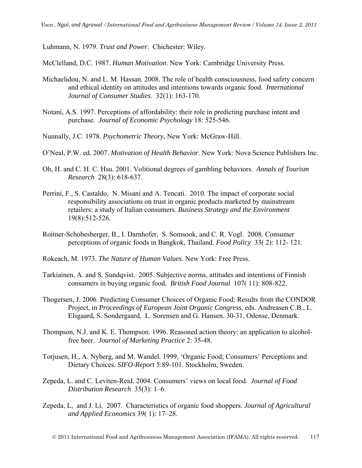Luhmann, N. 1979. *Trust and Power*. Chichester: Wiley.

McClelland, D.C. 1987. *Human Motivation*. New York: Cambridge University Press.

- Michaelidou, N. and L. M. Hassan. 2008. The role of health consciousness, food safety concern and ethical identity on attitudes and intentions towards organic food. *International Journal of Consumer Studies*. 32(1): 163-170.
- Notani, A.S. 1997. Perceptions of affordability: their role in predicting purchase intent and purchase. *Journal of Economic Psychology* 18: 525-546.
- Nunnally, J.C. 1978. *Psychometric Theory*, New York: McGraw-Hill.
- O'Neal, P.W. ed. 2007. *Motivation of Health Behavior*. New York: Nova Science Publishers Inc.
- Oh, H. and C. H. C. Hsu. 2001. Volitional degrees of gambling behaviors. *Annals of Tourism Research* 28(3): 618-637.
- Perrini, F., S. Castaldo, N. Misani and A. Tencati. 2010. The impact of corporate social responsibility associations on trust in organic products marketed by mainstream retailers: a study of Italian consumers. *Business Strategy and the Environment* 19(8):512-526.
- Roitner-Schobesberger, B., I. Darnhofer, S. Somsook, and C. R. Vogl. 2008. Consumer perceptions of organic foods in Bangkok, Thailand. *Food Policy* 33( 2): 112- 121.
- Rokeach, M. 1973. *The Nature of Human Values*. New York: Free Press.
- Tarkiainen, A. and S. Sundqvist. 2005. Subjective norms, attitudes and intentions of Finnish consumers in buying organic food. *British Food Journal* 107( 11): 808-822.
- Thogersen, J. 2006. Predicting Consumer Choices of Organic Food: Results from the CONDOR Project, in *Proceedings of European Joint Organic Congress*, eds. Andreasen C.B., L. Elsgaard, S. Sondergaard, L. Sorensen and G. Hansen. 30-31, Odense, Denmark.
- Thompson, N.J. and K. E. Thompson. 1996. Reasoned action theory: an application to alcoholfree beer. *Journal of Marketing Practice* 2: 35-48.
- Torjusen, H., A. Nyberg, and M. Wandel. 1999, 'Organic Food; Consumers' Perceptions and Dietary Choices. *SIFO-Report* 5:89-101. Stockholm, Sweden.
- Zepeda, L. and C. Leviten-Reid. 2004. Consumers' views on local food. *Journal of Food Distribution Research* 35(3): 1–6.
- Zepeda, L, and J. Li. 2007. Characteristics of organic food shoppers. *Journal of Agricultural and Applied Economics* 39( 1): 17–28.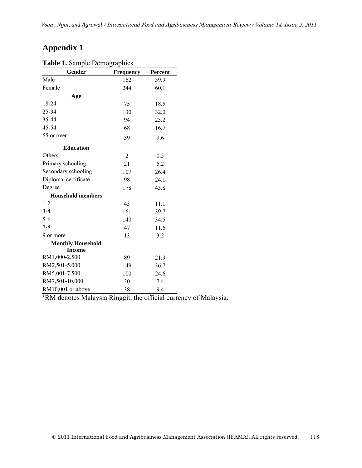# **Appendix 1**

| $\frac{1}{2}$ of $\frac{1}{2}$ of $\frac{1}{2}$ of $\frac{1}{2}$ of $\frac{1}{2}$ of $\frac{1}{2}$ |                |                |
|----------------------------------------------------------------------------------------------------|----------------|----------------|
| Gender                                                                                             | Frequency      | <b>Percent</b> |
| Male                                                                                               | 162            | 39.9           |
| Female                                                                                             | 244            | 60.1           |
| Age                                                                                                |                |                |
| 18-24                                                                                              | 75             | 18.5           |
| 25-34                                                                                              | 130            | 32.0           |
| 35-44                                                                                              | 94             | 23.2           |
| 45-54                                                                                              | 68             | 16.7           |
| 55 or over                                                                                         | 39             | 9.6            |
| <b>Education</b>                                                                                   |                |                |
| Others                                                                                             | $\overline{2}$ | 0.5            |
| Primary schooling                                                                                  | 21             | 5.2            |
| Secondary schooling                                                                                | 107            | 26.4           |
| Diploma, certificate                                                                               | 98             | 24.1           |
| Degree                                                                                             | 178            | 43.8           |
| <b>Household members</b>                                                                           |                |                |
| $1 - 2$                                                                                            | 45             | 11.1           |
| $3-4$                                                                                              | 161            | 39.7           |
| $5-6$                                                                                              | 140            | 34.5           |
| $7 - 8$                                                                                            | 47             | 11.6           |
| 9 or more                                                                                          | 13             | 3.2            |
| <b>Monthly Household</b>                                                                           |                |                |
| <b>Income</b>                                                                                      |                |                |
| RM1,000-2,500                                                                                      | 89             | 21.9           |
| RM2,501-5,000                                                                                      | 149            | 36.7           |
| RM5,001-7,500                                                                                      | 100            | 24.6           |
| RM7,501-10,000                                                                                     | 30             | 7.4            |
| RM10,001 or above                                                                                  | 38             | 9.4            |

#### **Table 1.** Sample Demographics

<sup>1</sup>RM denotes Malaysia Ringgit, the official currency of Malaysia.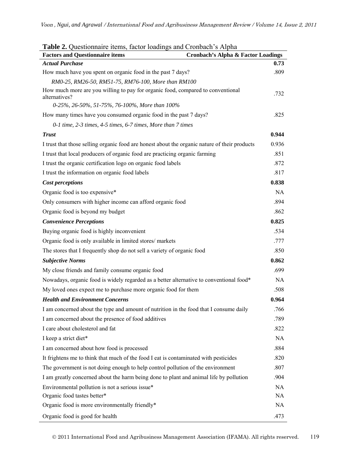| <b>Table 2.</b> Questionnaire nems, factor loadings and Cronoach S Alpha<br><b>Factors and Questionnaire items</b> | <b>Cronbach's Alpha &amp; Factor Loadings</b> |
|--------------------------------------------------------------------------------------------------------------------|-----------------------------------------------|
| <b>Actual Purchase</b>                                                                                             | 0.73                                          |
| How much have you spent on organic food in the past 7 days?                                                        | .809                                          |
| RM0-25, RM26-50, RM51-75, RM76-100, More than RM100                                                                |                                               |
| How much more are you willing to pay for organic food, compared to conventional<br>alternatives?                   | .732                                          |
| 0-25%, 26-50%, 51-75%, 76-100%, More than 100%                                                                     |                                               |
| How many times have you consumed organic food in the past 7 days?                                                  | .825                                          |
| 0-1 time, 2-3 times, 4-5 times, 6-7 times, More than 7 times                                                       |                                               |
| <b>Trust</b>                                                                                                       | 0.944                                         |
| I trust that those selling organic food are honest about the organic nature of their products                      | 0.936                                         |
| I trust that local producers of organic food are practicing organic farming                                        | .851                                          |
| I trust the organic certification logo on organic food labels                                                      | .872                                          |
| I trust the information on organic food labels                                                                     | .817                                          |
| Cost perceptions                                                                                                   | 0.838                                         |
| Organic food is too expensive*                                                                                     | <b>NA</b>                                     |
| Only consumers with higher income can afford organic food                                                          | .894                                          |
| Organic food is beyond my budget                                                                                   | .862                                          |
| <b>Convenience Perceptions</b>                                                                                     | 0.825                                         |
| Buying organic food is highly inconvenient                                                                         | .534                                          |
| Organic food is only available in limited stores/ markets                                                          | .777                                          |
| The stores that I frequently shop do not sell a variety of organic food                                            | .850                                          |
| <b>Subjective Norms</b>                                                                                            | 0.862                                         |
| My close friends and family consume organic food                                                                   | .699                                          |
| Nowadays, organic food is widely regarded as a better alternative to conventional food*                            | <b>NA</b>                                     |
| My loved ones expect me to purchase more organic food for them                                                     | .508                                          |
| <b>Health and Environment Concerns</b>                                                                             | 0.964                                         |
| I am concerned about the type and amount of nutrition in the food that I consume daily                             | .766                                          |
| I am concerned about the presence of food additives                                                                | .789                                          |
| I care about cholesterol and fat                                                                                   | .822                                          |
| I keep a strict diet*                                                                                              | <b>NA</b>                                     |
| I am concerned about how food is processed                                                                         | .884                                          |
| It frightens me to think that much of the food I eat is contaminated with pesticides                               | .820                                          |
| The government is not doing enough to help control pollution of the environment                                    | .807                                          |
| I am greatly concerned about the harm being done to plant and animal life by pollution                             | .904                                          |
| Environmental pollution is not a serious issue*                                                                    | <b>NA</b>                                     |
| Organic food tastes better*                                                                                        | NA                                            |
| Organic food is more environmentally friendly*                                                                     | <b>NA</b>                                     |
| Organic food is good for health                                                                                    | .473                                          |

| Table 2. Questionnaire items, factor loadings and Cronbach's Alpha |  |  |  |  |  |
|--------------------------------------------------------------------|--|--|--|--|--|
|                                                                    |  |  |  |  |  |